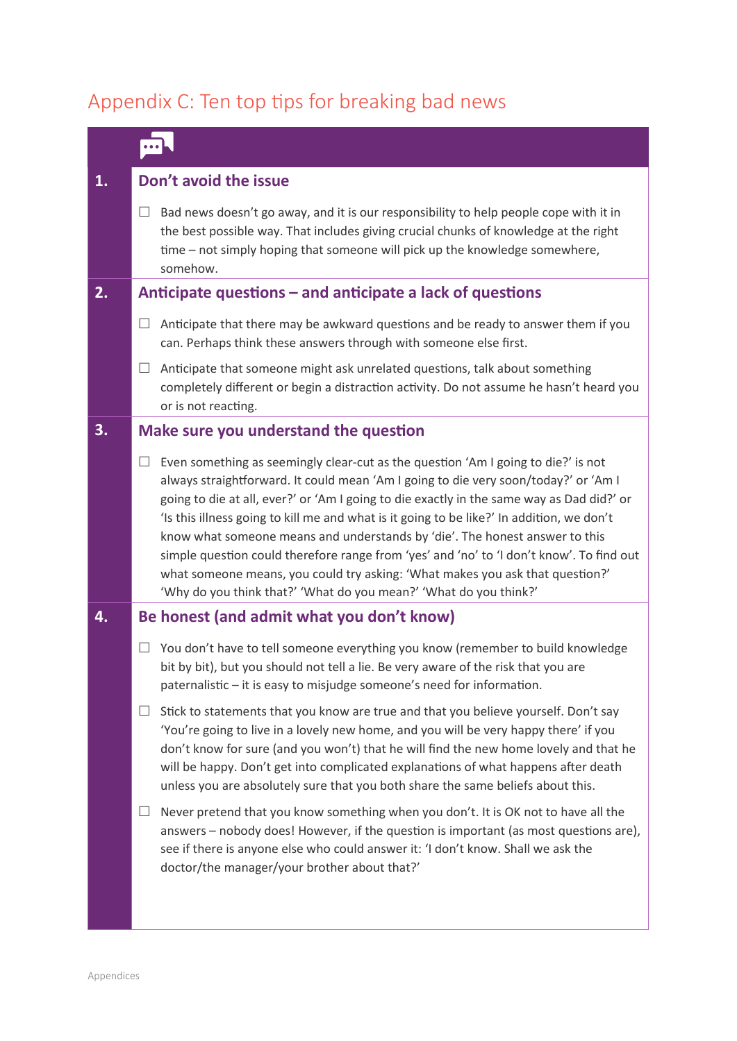# Appendix C: Ten top tips for breaking bad news

| 1. | Don't avoid the issue                                                                                                                                                                                                                                                                                                                                                                                                                                                                                                                                                                                                                                                                                    |
|----|----------------------------------------------------------------------------------------------------------------------------------------------------------------------------------------------------------------------------------------------------------------------------------------------------------------------------------------------------------------------------------------------------------------------------------------------------------------------------------------------------------------------------------------------------------------------------------------------------------------------------------------------------------------------------------------------------------|
|    | Bad news doesn't go away, and it is our responsibility to help people cope with it in<br>$\Box$<br>the best possible way. That includes giving crucial chunks of knowledge at the right<br>time - not simply hoping that someone will pick up the knowledge somewhere,<br>somehow.                                                                                                                                                                                                                                                                                                                                                                                                                       |
| 2. | Anticipate questions – and anticipate a lack of questions                                                                                                                                                                                                                                                                                                                                                                                                                                                                                                                                                                                                                                                |
|    | Anticipate that there may be awkward questions and be ready to answer them if you<br>⊔<br>can. Perhaps think these answers through with someone else first.                                                                                                                                                                                                                                                                                                                                                                                                                                                                                                                                              |
|    | Anticipate that someone might ask unrelated questions, talk about something<br>$\Box$<br>completely different or begin a distraction activity. Do not assume he hasn't heard you<br>or is not reacting.                                                                                                                                                                                                                                                                                                                                                                                                                                                                                                  |
| 3. | Make sure you understand the question                                                                                                                                                                                                                                                                                                                                                                                                                                                                                                                                                                                                                                                                    |
|    | Even something as seemingly clear-cut as the question 'Am I going to die?' is not<br>ப<br>always straightforward. It could mean 'Am I going to die very soon/today?' or 'Am I<br>going to die at all, ever?' or 'Am I going to die exactly in the same way as Dad did?' or<br>'Is this illness going to kill me and what is it going to be like?' In addition, we don't<br>know what someone means and understands by 'die'. The honest answer to this<br>simple question could therefore range from 'yes' and 'no' to 'I don't know'. To find out<br>what someone means, you could try asking: 'What makes you ask that question?'<br>'Why do you think that?' 'What do you mean?' 'What do you think?' |
| 4. | Be honest (and admit what you don't know)                                                                                                                                                                                                                                                                                                                                                                                                                                                                                                                                                                                                                                                                |
|    | You don't have to tell someone everything you know (remember to build knowledge<br>bit by bit), but you should not tell a lie. Be very aware of the risk that you are<br>paternalistic - it is easy to misjudge someone's need for information.                                                                                                                                                                                                                                                                                                                                                                                                                                                          |
|    | Stick to statements that you know are true and that you believe yourself. Don't say<br>ப<br>'You're going to live in a lovely new home, and you will be very happy there' if you<br>don't know for sure (and you won't) that he will find the new home lovely and that he<br>will be happy. Don't get into complicated explanations of what happens after death<br>unless you are absolutely sure that you both share the same beliefs about this.                                                                                                                                                                                                                                                       |
|    | Never pretend that you know something when you don't. It is OK not to have all the<br>ப<br>answers - nobody does! However, if the question is important (as most questions are),<br>see if there is anyone else who could answer it: 'I don't know. Shall we ask the<br>doctor/the manager/your brother about that?'                                                                                                                                                                                                                                                                                                                                                                                     |